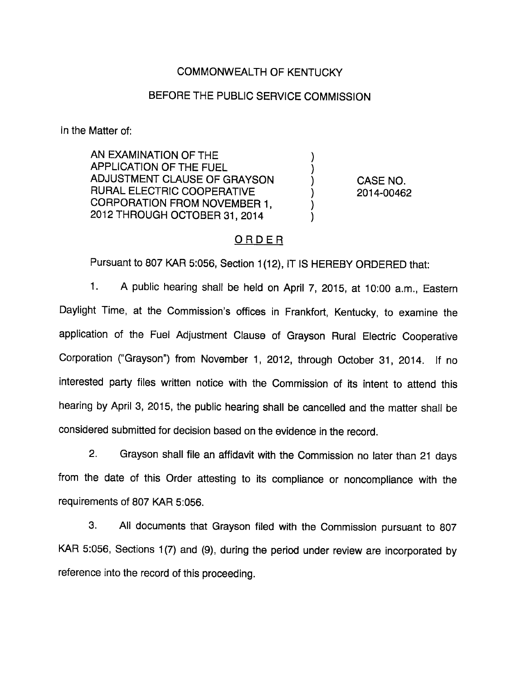### COMMONWEALTH OF KENTUCKY

## BEFORE THE PUBLIC SERVICE COMMISSION

In the Matter of:

AN EXAMINATION OF THE APPLICATION OF THE FUEL ADJUSTMENT CLAUSE OF GRAYSON  $(1, 0)$  CASE NO. RURAL ELECTRIC COOPERATIVE  $(2014-00462)$ CORPORATION FROM NOVEMBER 1, 2012 THROUGH OCTOBER 31, 2014

#### ORDER

Pursuant to 807 KAR 5:056, Section 1(12), IT IS HEREBY ORDERED that:

1. A public hearing shall be held on April 7, 2015, at 10:00 a.m., Eastem Daylight Time, at the Commission's offices in Frankfort, Kentucky, to examine the application of the Fuel Adjustment Clause of Grayson Rural Electric Cooperative Corporation ("Grayson") from November 1, 2012, through October 31, 2014. If no interested party files written notice with the Commission of its intent to attend this hearing by April 3, 2015, the public hearing shall be cancelled and the matter shall be considered submitted for decision based on the evidence in the record.

2. Grayson shall file an affidavit with the Commission no later than 21 days from the date of this Order attesting to its compliance or noncompliance with the requirements of 807 KAR 5:056.

3. All documents that Grayson filed with the Commission pursuant to 807 KAR 5:056, Sections 1(7) and (9), during the period under review are incorporated by reference into the record of this proceeding.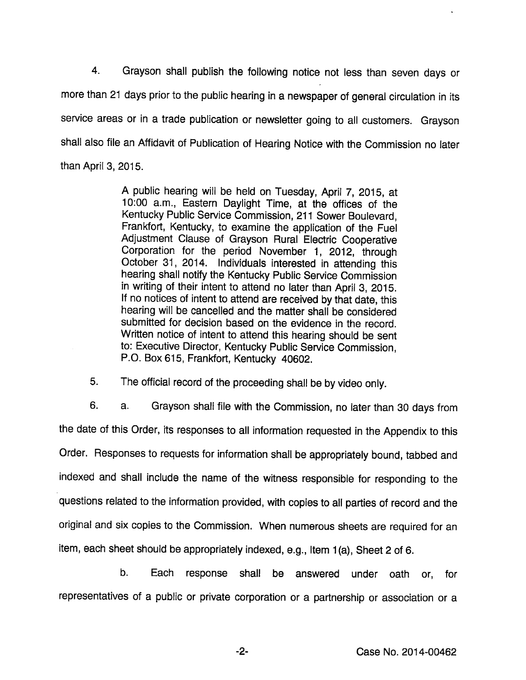4. Grayson shall publish the following notice not less than seven days or more than 21 days prior to the public hearing in a newspaper of general circulation in its service areas or in a trade publication or newsletter going to all customers. Grayson shall also file an Affidavit of Publication of Hearing Notice with the Commission no later than April 3, 2015.

> A public hearing will be held on Tuesday, April 7, 2015, at 10:00 a.m., Eastem Daylight Time, at the offices of the Kentucky Public Service Commission, 211 Sower Boulevard, Frankfort, Kentucky, to examine the application of the Fuel Adjustment Clause of Grayson Rural Electric Cooperative Corporation for the period November 1, 2012, through October 31, 2014. Individuals interested in attending this hearing shall notify the Kentucky Public Service Commission in writing of their intent to attend no later than April 3, 2015. If no notices of intent to attend are received by that date, this hearing will be cancelled and the matter shall be considered submitted for decision based on the evidence in the record. Written notice of intent to attend this hearing should be sent to: Executive Director, Kentucky Public Service Commission, P.O. Box615, Frankfort, Kentucky 40602.

5. The official record of the proceeding shall be by video only.

6. a. Grayson shall file with the Commission, no later than 30 days from the date of this Order, its responses to all information requested in the Appendix to this Order. Responses to requests for information shall be appropriately bound, tabbed and indexed and shall include the name of the witness responsible for responding to the questions related to the information provided, with copies to all parties of record and the original and six copies to the Commission. When numerous sheets are required for an item, each sheet should be appropriately indexed, e.g., Item 1(a), Sheet 2 of 6.

b. Each response shall be answered under oath or, for representatives of a public or private corporation or a partnership or association or a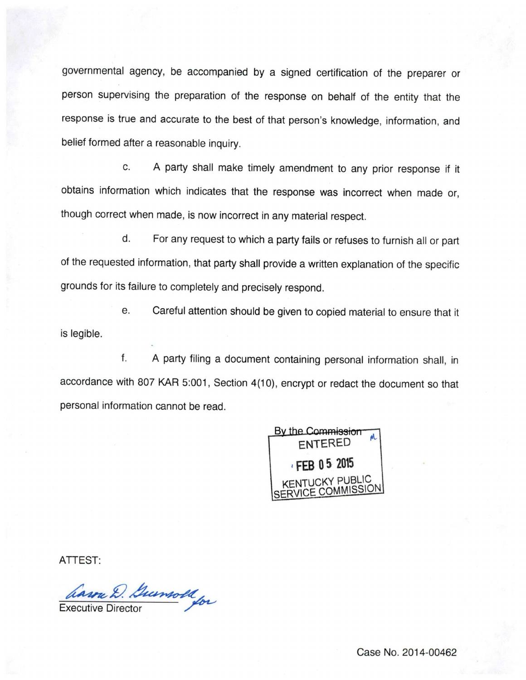governmental agency, be accompanied by a signed certification of the preparer or person supervising the preparation of the response on behalf of the entity that the response is true and accurate to the best of that person's knowledge, information, and belief formed after a reasonable inquiry.

c. A party shall make timely amendment to any prior response if it obtains information which indicates that the response was incorrect when made or, though correct when made, is now incorrect in anymaterial respect.

d. For any request to which a party fails or refuses to furnish all or part of the requested information, that party shall provide a written explanation of the specific grounds for its failure to completely and precisely respond.

e. Careful attention should be given to copied material to ensure that it is legible.

f. A party filing a document containing personal information shall, in accordance with 807 KAR 5:001, Section 4(10), encrypt or redact the document so that personal information cannot be read.

By the Commission entered FFB 0 5 2015 **ICKY PUBLIC** 

ATTEST:

havre D. Guernold for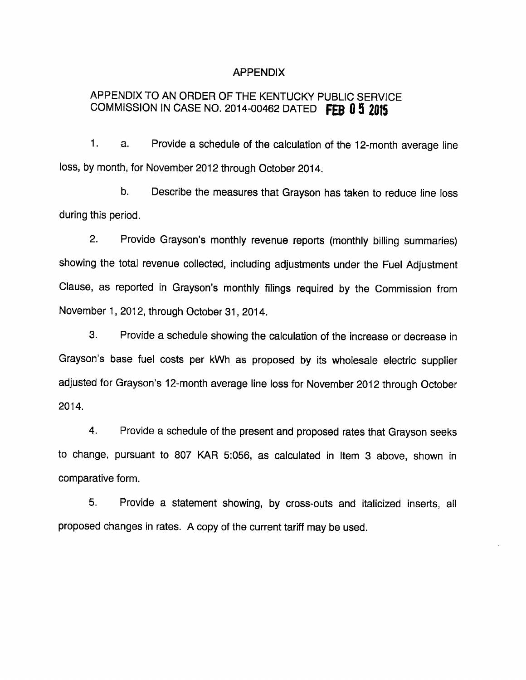#### APPENDIX

# APPENDIX TO AN ORDER OF THE KENTUCKY PUBLIC SERVICE COMMISSION IN CASE NO. 2014-00462 DATED FEB 0 5 2015

1. a. Provide a schedule of the calculation of the 12-month average line loss, by month, for November 2012 through October 2014.

b. Describe the measures that Grayson has taken to reduce line loss during this period.

2. Provide Grayson's monthly revenue reports (monthly billing summaries) showing the total revenue collected, including adjustments under the Fuel Adjustment Clause, as reported in Grayson's monthly filings required by the Commission from November 1, 2012, through October 31, 2014.

3. Provide a schedule showing the calculation of the increase or decrease in Grayson's base fuel costs per kWh as proposed by its wholesale electric supplier adjusted for Grayson's 12-month average line lossfor November 2012 through October 2014.

4. Provide a schedule of the present and proposed rates that Grayson seeks to change, pursuant to 807 KAR 5:056, as calculated in Item 3 above, shown in comparative form.

5. Provide a statement showing, by cross-outs and italicized inserts, all proposed changes in rates. A copy of the current tariff may be used.